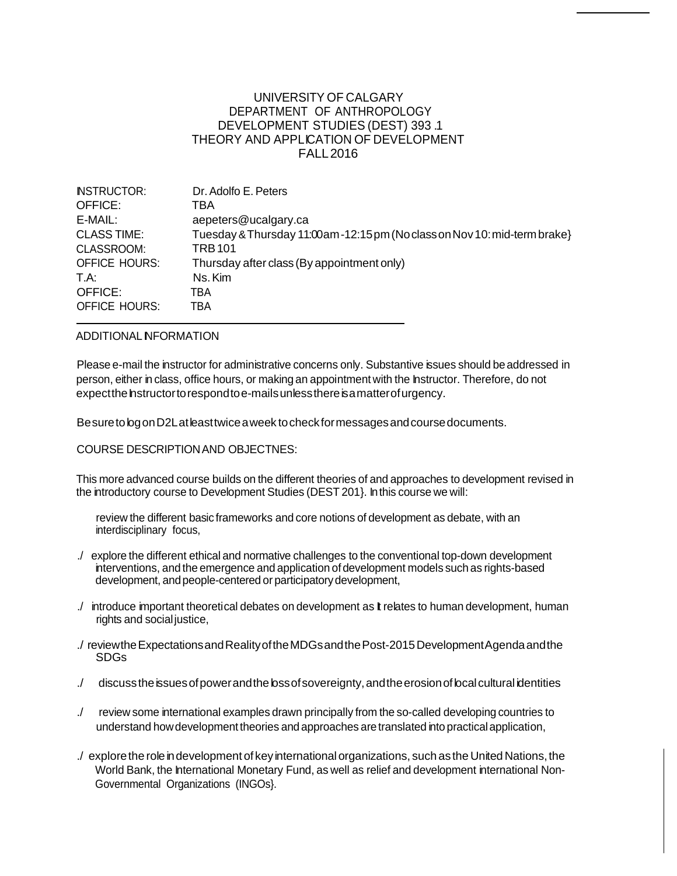## UNIVERSITY OF CALGARY DEPARTMENT OF ANTHROPOLOGY DEVELOPMENT STUDIES (DEST) 393 .1 THEORY AND APPLICATION OF DEVELOPMENT FALL2016

| <b>INSTRUCTOR:</b>   | Dr. Adolfo E. Peters                                                    |
|----------------------|-------------------------------------------------------------------------|
| OFFICE:              | TBA                                                                     |
| E-MAIL:              | aepeters@ucalgary.ca                                                    |
| <b>CLASS TIME:</b>   | Tuesday & Thursday 11:00am-12:15 pm (Noclass on Nov 10: mid-term brake) |
| CLASSROOM:           | <b>TRB101</b>                                                           |
| <b>OFFICE HOURS:</b> | Thursday after class (By appointment only)                              |
| T.A:                 | Ns. Kim                                                                 |
| OFFICE:              | TBA                                                                     |
| <b>OFFICE HOURS:</b> | TBA                                                                     |

#### ADDITIONAL NFORMATION

Please e-mail the instructor for administrative concerns only. Substantive issues should be addressed in person, either in class, office hours, or making an appointment with the Instructor. Therefore, do not expect the hstructor to respond to e-mails unless there is a matter of urgency.

BesuretologonD2Latleasttwiceaweek tocheckformessagesandcoursedocuments.

#### COURSE DESCRIPTIONAND OBJECTNES:

This more advanced course builds on the different theories of and approaches to development revised in the introductory course to Development Studies (DEST 201}. Inthis course we will:

review the different basic frameworks and core notions of development as debate, with an interdisciplinary focus,

- ./ explore the different ethical and normative challenges to the conventional top-down development interventions, and the emergence and application ofdevelopment models such as rights-based development, and people-centered or participatory development,
- ./ introduce important theoretical debates on development as It relates to human development, human rights and social justice,
- ./ reviewtheExpectationsandRealityoftheMDGsandthePost-2015DevelopmentAgendaandthe SDGs
- ./ discuss the issues of power and the loss of sovereignty, and the erosion of local cultural identities
- ./ review some international examples drawn principally from the so-called developing countries to understand howdevelopmenttheories and approaches aretranslated into practicalapplication,
- ./ explore the role in development of key international organizations, such as the United Nations, the World Bank, the International Monetary Fund, as well as relief and development international Non-Governmental Organizations (INGOs}.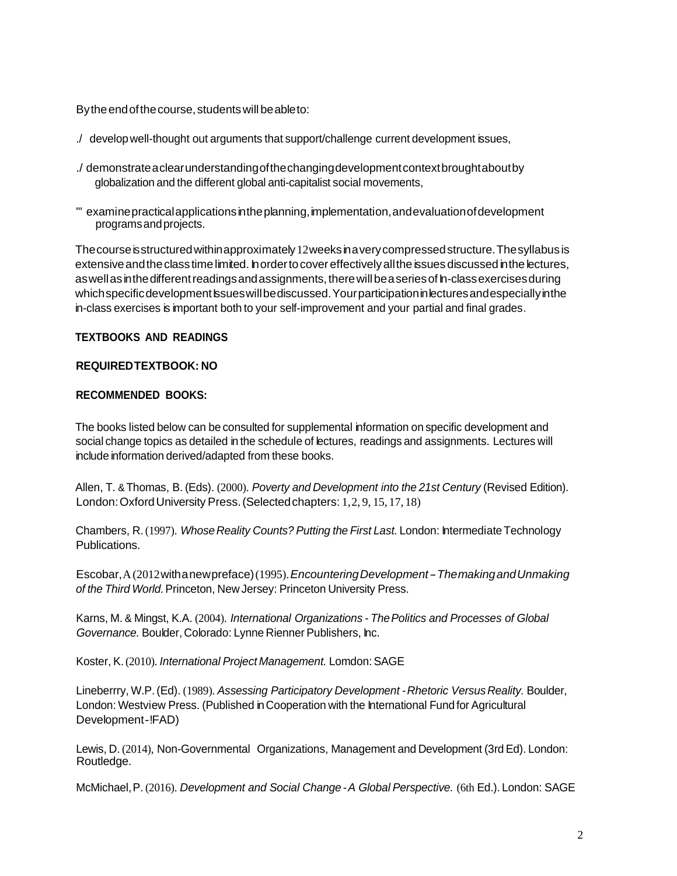By the end of the course, students will be able to:

- ./ developwell-thought out arguments that support/challenge current development issues,
- ./ demonstrateaclearunderstandingofthechangingdevelopmentcontextbroughtaboutby globalization and the different global anti-capitalist social movements,
- "' examinepracticalapplicationsintheplanning,implementation,andevaluationofdevelopment programsandprojects.

Thecourseisstructuredwithinapproximately12weeksinaverycompressedstructure.Thesyllabusis extensive and the class time limited. In order to cover effectively all the issues discussed in the lectures, as well as in the different readings and assignments, there will be a series of h-classexercises during which specific development issues will be discussed. Your participation in lectures and especially in the in-class exercises is important both to your self-improvement and your partial and final grades.

## **TEXTBOOKS AND READINGS**

## **REQUIREDTEXTBOOK: NO**

## **RECOMMENDED BOOKS:**

The books listed below can be consulted for supplemental information on specific development and social change topics as detailed in the schedule of lectures, readings and assignments. Lectures will include information derived/adapted from these books.

Allen, T. &Thomas, B. (Eds). (2000). *Poverty and Development into the 21st Century* (Revised Edition). London:OxfordUniversity Press.(Selectedchapters: 1,2, 9, 15, 17, 18)

Chambers, R.(1997). *WhoseReality Counts? Putting the First Last.* London: Intermediate Technology **Publications** 

Escobar,A(2012withanewpreface)(1995).*EncounteringDevelopment-ThemakingandUnmaking of the Third World.*Princeton, New Jersey: Princeton University Press.

Karns, M. & Mingst, K.A. (2004). *International Organizations - ThePolitics and Processes of Global Governance.* Boulder, Colorado: Lynne Rienner Publishers, Inc.

Koster, K.(2010). *International Project Management.* Lomdon:SAGE

Lineberrry, W.P. (Ed). (1989). *Assessing Participatory Development - Rhetoric Versus Reality.* Boulder, London: Westview Press. (Published in Cooperation with the International Fund for Agricultural Development-!FAD)

Lewis, D. (2014), Non-Governmental Organizations, Management and Development (3rdEd). London: Routledge.

McMichael,P. (2016). *Development and Social Change -A Global Perspective.* (6th Ed.). London: SAGE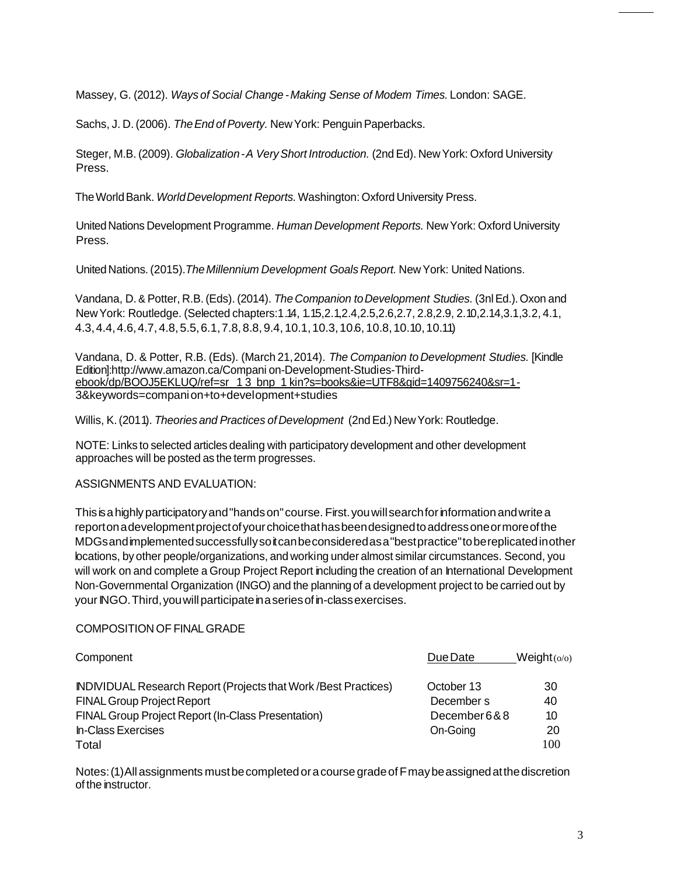Massey, G. (2012). *Ways of Social Change* -*Making Sense of Modem Times.* London: SAGE.

Sachs, J. D. (2006). *The End of Poverty.* New York: Penguin Paperbacks.

Steger, M.B. (2009). *Globalization-A VeryShort Introduction.* (2nd Ed). New York: Oxford University Press.

TheWorldBank. *WorldDevelopment Reports.* Washington: Oxford University Press.

UnitedNations Development Programme. *Human Development Reports.* NewYork: Oxford University Press.

United Nations. (2015).*TheMillennium Development Goals Report.* NewYork: United Nations.

Vandana, D. & Potter, R.B.(Eds). (2014). *The Companion toDevelopment Studies.* (3nlEd.).Oxon and NewYork: Routledge. (Selected chapters:1.14, 1.15,2.1,2.4,2.5,2.6,2.7, 2.8,2.9, 2.10,2.14,3.1,3.2, 4.1, 4.3,4.4,4.6,4.7, 4.8, 5.5,6.1,7.8,8.8,9.4, 10.1,10.3,10.6, 10.8,10.10,10.11)

Vandana, D. & Potter, R.B. (Eds). (March 21,2014). *The Companion to Development Studies.* [Kindle Edition][:http://www.amazon.ca/Compani](http://www.amazon.ca/Compani) on-Development-Studies-Thirdebook/dp/BOOJ5EKLUQ/ref=sr 1 3 bnp 1 kin?s=books&ie=UTF8&gid=1409756240&sr=1- 3&keywords=companion+to+development+studies

Willis, K.(2011). *Theories and Practices of Development* (2ndEd.) NewYork: Routledge.

NOTE: Links to selected articles dealing with participatory development and other development approaches will be posted as the term progresses.

# ASSIGNMENTS AND EVALUATION:

Thisisahighlyparticipatoryand"handson"course. First.youwillsearchforinformationandwritea reportonadevelopmentprojectofyourchoicethathasbeendesignedtoaddressoneormoreofthe MDGsandimplementedsuccessfullysoitcanbeconsideredasa"bestpractice"tobereplicatedinother locations, by other people/organizations, and working under almost similar circumstances. Second, you will work on and complete a Group Project Report including the creation of an International Development Non-Governmental Organization (INGO) and the planning of a development project to be carried out by your INGO. Third, you will participate in a series of in-class exercises.

# COMPOSITION OF FINAL GRADE

| Component                                                              | Due Date    | Weight(o/o) |
|------------------------------------------------------------------------|-------------|-------------|
| <b>INDIVIDUAL Research Report (Projects that Work /Best Practices)</b> | October 13  | 30          |
| <b>FINAL Group Project Report</b>                                      | December s  | 40          |
| FINAL Group Project Report (In-Class Presentation)                     | December6&8 | 10          |
| <b>In-Class Exercises</b>                                              | On-Going    | 20          |
| Total                                                                  |             | 100         |

Notes:(1)All assignments mustbecompletedoracoursegradeofFmaybeassignedatthediscretion of the instructor.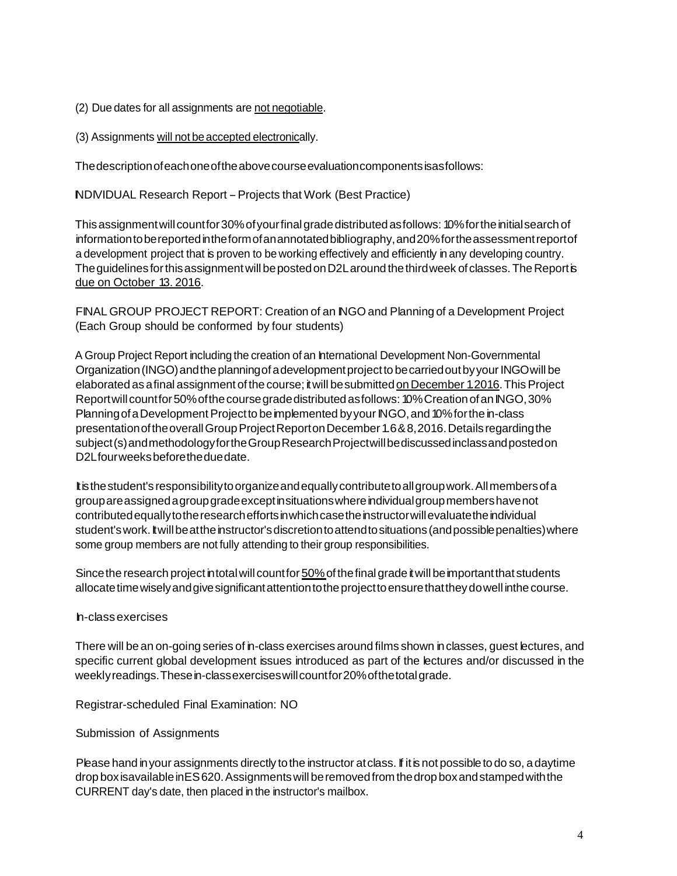- (2) Due dates for all assignments are not negotiable.
- (3) Assignments will not be accepted electronically.

Thedescriptionofeachoneoftheabovecourseevaluationcomponentsisasfollows:

INDIVIDUAL Research Report-Projects that Work (Best Practice)

This assignment will count for 30% of your final grade distributed as follows: 10% for the initial search of information to be reported in the form of an annotated bibliography, and 20% for the assessment report of a development project that is proven to be working effectively and efficiently in any developing country. The guidelines for this assignment will be posted on D2L around the third week of classes. The Report is due on October 13. 2016.

FINAL GROUP PROJECT REPORT: Creation of an INGO and Planning of a Development Project (Each Group should be conformed by four students)

A Group Project Report including the creation of an International Development Non-Governmental Organization (INGO) and the planning of a development project to be carried out by your INGO will be elaborated as a final assignment of the course; it will be submitted on December 1.2016. This Project Report will count for 50% of the course grade distributed as follows: 10% Creation of an INGO, 30% Planning of a Development Project to be implemented by your INGO, and 10% for the in-class presentationoftheoverallGroupProjectReportonDecember1.6&8,2016.Detailsregardingthe subject(s) and methodology for the Group Research Project will be discussed inclass and posted on D2Lfourweeksbeforetheduedate.

Itisthestudent's responsibilitytoorganizeandequallycontributetoallgroupwork.Allmembersofa groupareassignedagroupgradeexceptinsituationswhereindividualgroupmembershavenot contributed equally to the research efforts in which case the instructor will evaluate the individual student's work. It will be at the instructor's discretion to attend to situations (and possible penalties) where some group members are not fully attending to their group responsibilities.

Since the research project in total will count for 50% of the final grade it will be important that students allocatetimewiselyandgivesignificantattentiontotheprojecttoensurethattheydowell inthecourse.

## In-classexercises

There will be an on-going series of in-class exercises around films shown inclasses, guest lectures, and specific current global development issues introduced as part of the lectures and/or discussed in the weeklyreadings. These in-classexercises will count for 20% of the total grade.

Registrar-scheduled Final Examination: NO

Submission of Assignments

Please hand in your assignments directly to the instructor at class. If it is not possible to do so, a daytime drop box is available in ES 620. Assignments will be removed from the drop box and stamped with the CURRENT day's date, then placed in the instructor's mailbox.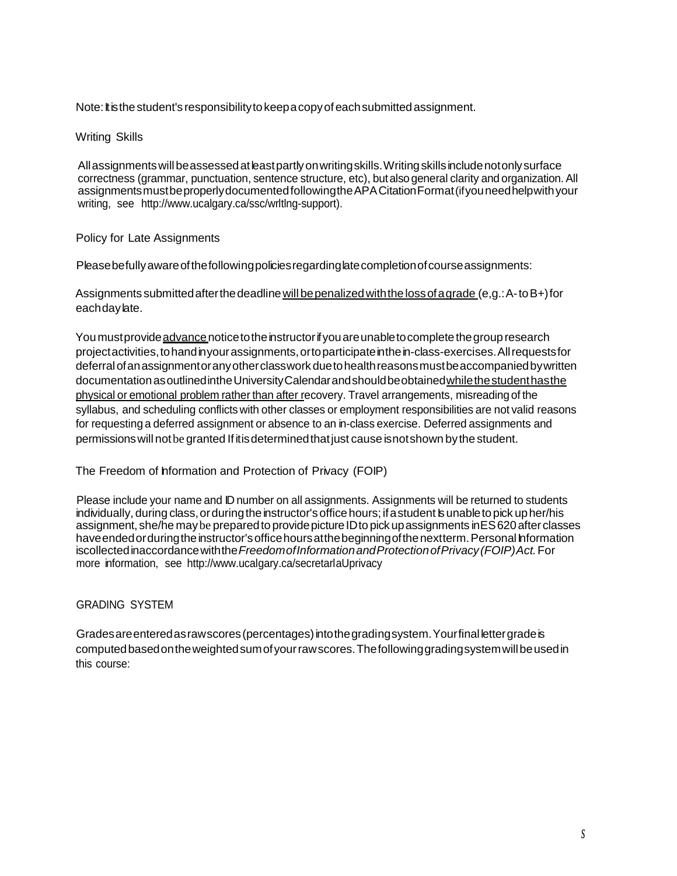Note: It is the student's responsibility to keep a copy of each submitted assignment.

Writing Skills

Allassignmentswillbeassessedatleastpartlyonwritingskills.Writingskillsincludenotonlysurface correctness (grammar, punctuation, sentence structure, etc), butalso general clarity and organization.All assignmentsmustbeproperlydocumentedfollowingtheAPACitationFormat(ifyouneedhelpwithyour writing, see [http://www.ucalgary.ca/ssc/wrltlng-support\).](http://www.ucalgary.ca/ssc/wrltlng-support))

## Policy for Late Assignments

Please befully aware of the following policies regarding late completion of course assignments:

Assignments submitted after the deadline will be penalized with the loss of a grade (e,g.: A-to B+) for eachdaylate.

You must provide advance notice to the instructor if you are unable to complete the group research projectactivities,tohandinyourassignments,ortoparticipateinthein-class-exercises.Allrequestsfor deferral of an assignment or any other class work due to health reasons must be accompanied by written documentation as outlined in the University Calendar and should be obtained while the student has the physical or emotional problem rather than after recovery. Travel arrangements, misreading of the syllabus, and scheduling conflicts with other classes or employment responsibilities are not valid reasons for requesting a deferred assignment or absence to an in-class exercise. Deferred assignments and permissions will not be granted If it is determined that just cause is not shown by the student.

# The Freedom of hformation and Protection of Privacy (FOIP)

Please include your name and ID number on all assignments. Assignments will be returned to students individually, during class, or during the instructor's office hours; if a student **b** unable to pick up her/his assignment, she/he maybe preparedto providepictureIDto pickupassignments inES620afterclasses have ended orduring the instructor's office hours at the beginning of the next term. Personal Information iscollectedinaccordancewiththe*FreedomofInformationandProtectionofPrivacy(FOIP)Act.*For more information, see <http://www.ucalgary.ca/secretarlaUprivacy>

# GRADING SYSTEM

Gradesareenteredasrawscores(percentages)intothegradingsystem.Yourfinallettergradeis computedbasedontheweightedsumofyourrawscores.Thefollowinggradingsystemwillbeusedin this course: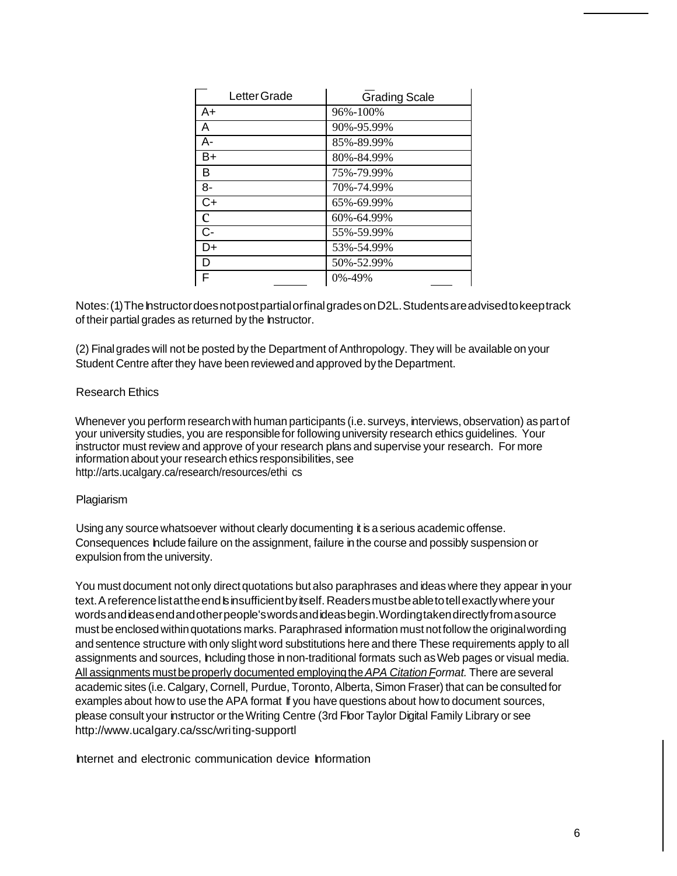| Letter Grade    | <b>Grading Scale</b> |
|-----------------|----------------------|
| A+              | 96%-100%             |
| A               | 90%-95.99%           |
| $A -$           | 85%-89.99%           |
| $B+$            | 80%-84.99%           |
| B               | 75%-79.99%           |
| $8-$            | 70%-74.99%           |
| $\overline{C+}$ | 65%-69.99%           |
| $\mathbf C$     | 60%-64.99%           |
| $\overline{C}$  | 55%-59.99%           |
| D+              | 53%-54.99%           |
| D               | 50%-52.99%           |
| F               | 0%-49%               |

Notes: (1) The hstructor does not post partial or final grades on D2L. Students are advised to keep track of their partial grades as returned by the Instructor.

(2) Final grades will not be posted by the Department of Anthropology. They will be available on your Student Centre after they have been reviewed and approved by the Department.

## Research Ethics

Whenever you perform research with human participants (i.e. surveys, interviews, observation) as part of your university studies, you are responsible for following university research ethics guidelines. Your instructor must review and approve of your research plans and supervise your research. For more information about your research ethics responsibilities, see <http://arts.ucalgary.ca/research/resources/ethi> cs

#### Plagiarism

Using any source whatsoever without clearly documenting it is a serious academic offense. Consequences Include failure on the assignment, failure in the course and possibly suspension or expulsion from the university.

You must document not only direct quotations but also paraphrases and ideas where they appear in your text. A reference listatthe end binsufficient by itself. Readers must be able to tell exactly where your wordsandideasendandotherpeople'swordsandideasbegin.Wordingtakendirectlyfromasource must be enclosed within quotations marks. Paraphrased information must not follow the original wording and sentence structure with only slight word substitutions here and there These requirements apply to all assignments and sources, Including those in non-traditional formats such as Web pages or visual media. All assignments mustbeproperly documented employingthe*APA Citation Format.* There are several academic sites (i.e.Calgary, Cornell, Purdue, Toronto, Alberta, Simon Fraser) that can be consulted for examples about how to use the APA format If you have questions about how to document sources, please consult your instructor ortheWriting Centre (3rd Floor Taylor Digital Family Library or see [http://www.ucalgary.ca/ssc/writ](http://www.ucalgary.ca/ssc/wri)ing-supportl

Internet and electronic communication device Information